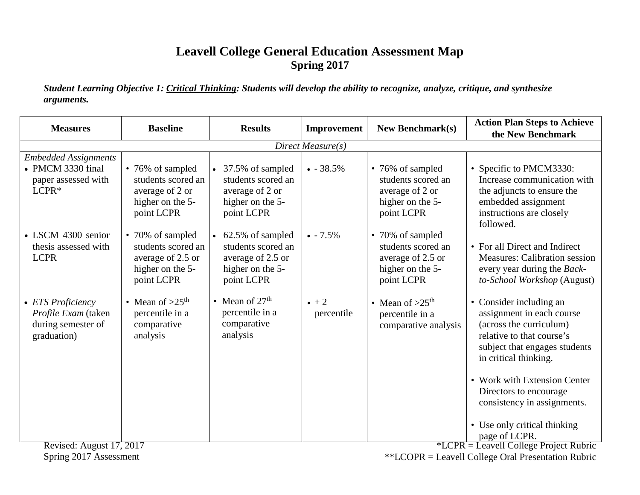## **Leavell College General Education Assessment Map Spring 2017**

*Student Learning Objective 1: Critical Thinking: Students will develop the ability to recognize, analyze, critique, and synthesize arguments.*

| Direct Measure(s)<br><b>Embedded Assignments</b><br>• PMCM 3330 final<br>• 76% of sampled<br>• 37.5% of sampled<br>$\bullet$ - 38.5%<br>• Specific to PMCM3330:<br>• 76% of sampled<br>students scored an<br>students scored an<br>students scored an<br>paper assessed with<br>$LCPR*$<br>average of 2 or<br>average of 2 or<br>average of 2 or<br>higher on the 5-<br>higher on the 5-<br>higher on the 5-<br>embedded assignment<br>point LCPR<br>point LCPR<br>point LCPR<br>instructions are closely<br>followed.<br>• LSCM 4300 senior<br>62.5% of sampled<br>• 70% of sampled<br>$\bullet$ - 7.5%<br>• 70% of sampled<br>students scored an<br>students scored an<br>students scored an<br>thesis assessed with<br><b>LCPR</b><br>average of 2.5 or<br>average of 2.5 or<br>average of 2.5 or<br>higher on the 5-<br>higher on the 5-<br>higher on the 5-<br>point LCPR<br>point LCPR<br>point LCPR<br>• Mean of $27th$<br>• Mean of $>25th$<br>$\bullet$ + 2<br>• Mean of $>25$ <sup>th</sup><br>• Consider including an<br>• ETS Proficiency<br>percentile in a<br>percentile in a<br>Profile Exam (taken<br>percentile<br>percentile in a<br>comparative<br>during semester of<br>(across the curriculum)<br>comparative<br>comparative analysis<br>analysis<br>relative to that course's<br>graduation)<br>analysis<br>in critical thinking. | <b>Measures</b> | <b>Baseline</b> | <b>Results</b> | Improvement | <b>New Benchmark(s)</b> | <b>Action Plan Steps to Achieve</b><br>the New Benchmark                                                                                                  |  |  |
|---------------------------------------------------------------------------------------------------------------------------------------------------------------------------------------------------------------------------------------------------------------------------------------------------------------------------------------------------------------------------------------------------------------------------------------------------------------------------------------------------------------------------------------------------------------------------------------------------------------------------------------------------------------------------------------------------------------------------------------------------------------------------------------------------------------------------------------------------------------------------------------------------------------------------------------------------------------------------------------------------------------------------------------------------------------------------------------------------------------------------------------------------------------------------------------------------------------------------------------------------------------------------------------------------------------------------------------------------------|-----------------|-----------------|----------------|-------------|-------------------------|-----------------------------------------------------------------------------------------------------------------------------------------------------------|--|--|
|                                                                                                                                                                                                                                                                                                                                                                                                                                                                                                                                                                                                                                                                                                                                                                                                                                                                                                                                                                                                                                                                                                                                                                                                                                                                                                                                                         |                 |                 |                |             |                         |                                                                                                                                                           |  |  |
|                                                                                                                                                                                                                                                                                                                                                                                                                                                                                                                                                                                                                                                                                                                                                                                                                                                                                                                                                                                                                                                                                                                                                                                                                                                                                                                                                         |                 |                 |                |             |                         | Increase communication with<br>the adjuncts to ensure the                                                                                                 |  |  |
|                                                                                                                                                                                                                                                                                                                                                                                                                                                                                                                                                                                                                                                                                                                                                                                                                                                                                                                                                                                                                                                                                                                                                                                                                                                                                                                                                         |                 |                 |                |             |                         | • For all Direct and Indirect<br><b>Measures: Calibration session</b><br>every year during the Back-<br>to-School Workshop (August)                       |  |  |
| Directors to encourage<br>page of LCPR.                                                                                                                                                                                                                                                                                                                                                                                                                                                                                                                                                                                                                                                                                                                                                                                                                                                                                                                                                                                                                                                                                                                                                                                                                                                                                                                 |                 |                 |                |             |                         | assignment in each course<br>subject that engages students<br>• Work with Extension Center<br>consistency in assignments.<br>• Use only critical thinking |  |  |

Spring 2017 Assessment

\*\*LCOPR = Leavell College Oral Presentation Rubric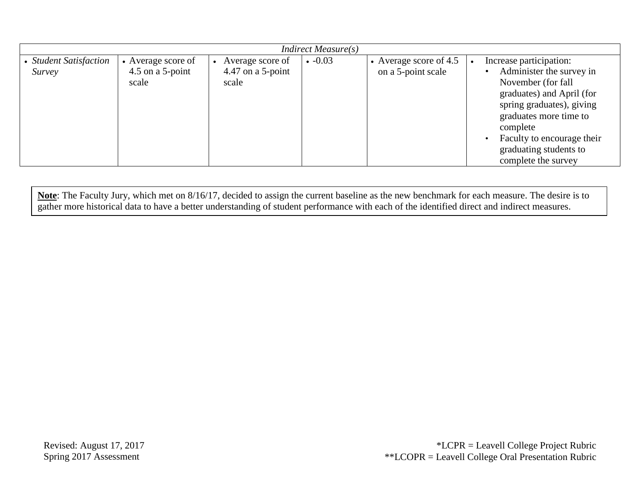| $Indirect\ Measure(s)$           |                                                 |                                                |               |                                                |                                                                                                                                                                                                                                                          |  |  |
|----------------------------------|-------------------------------------------------|------------------------------------------------|---------------|------------------------------------------------|----------------------------------------------------------------------------------------------------------------------------------------------------------------------------------------------------------------------------------------------------------|--|--|
| • Student Satisfaction<br>Survey | • Average score of<br>4.5 on a 5-point<br>scale | Average score of<br>4.47 on a 5-point<br>scale | $\cdot$ -0.03 | • Average score of $4.5$<br>on a 5-point scale | Increase participation:<br>Administer the survey in<br>November (for fall<br>graduates) and April (for<br>spring graduates), giving<br>graduates more time to<br>complete<br>Faculty to encourage their<br>graduating students to<br>complete the survey |  |  |

**Note**: The Faculty Jury, which met on 8/16/17, decided to assign the current baseline as the new benchmark for each measure. The desire is to gather more historical data to have a better understanding of student performance with each of the identified direct and indirect measures.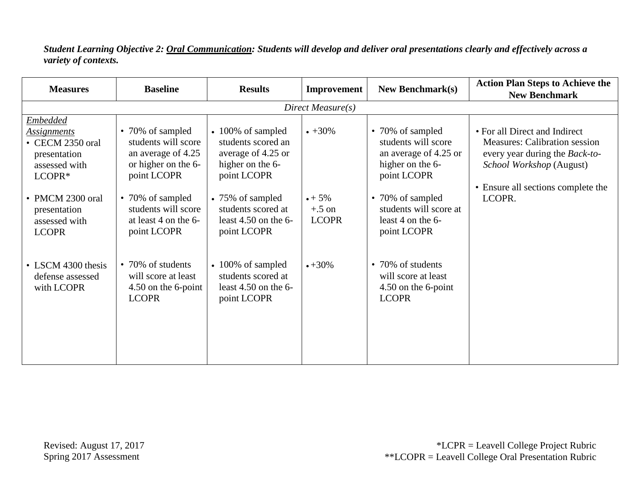*Student Learning Objective 2: Oral Communication: Students will develop and deliver oral presentations clearly and effectively across a variety of contexts.*

| <b>Measures</b>                                                                                      | <b>Baseline</b>                                                                                     | <b>Results</b>                                                                                         | Improvement                                 | <b>New Benchmark(s)</b>                                                                             | <b>Action Plan Steps to Achieve the</b><br><b>New Benchmark</b>                                                                     |
|------------------------------------------------------------------------------------------------------|-----------------------------------------------------------------------------------------------------|--------------------------------------------------------------------------------------------------------|---------------------------------------------|-----------------------------------------------------------------------------------------------------|-------------------------------------------------------------------------------------------------------------------------------------|
|                                                                                                      |                                                                                                     |                                                                                                        | Direct Measure(s)                           |                                                                                                     |                                                                                                                                     |
| <b>Embedded</b><br><b>Assignments</b><br>• CECM 2350 oral<br>presentation<br>assessed with<br>LCOPR* | • 70% of sampled<br>students will score<br>an average of 4.25<br>or higher on the 6-<br>point LCOPR | $\cdot$ 100% of sampled<br>students scored an<br>average of 4.25 or<br>higher on the 6-<br>point LCOPR | $+30\%$                                     | • 70% of sampled<br>students will score<br>an average of 4.25 or<br>higher on the 6-<br>point LCOPR | • For all Direct and Indirect<br><b>Measures: Calibration session</b><br>every year during the Back-to-<br>School Workshop (August) |
| • PMCM 2300 oral<br>presentation<br>assessed with<br><b>LCOPR</b>                                    | • 70% of sampled<br>students will score<br>at least 4 on the 6-<br>point LCOPR                      | • 75% of sampled<br>students scored at<br>least $4.50$ on the 6-<br>point LCOPR                        | $\bullet + 5\%$<br>$+.5$ on<br><b>LCOPR</b> | • 70% of sampled<br>students will score at<br>least 4 on the 6-<br>point LCOPR                      | • Ensure all sections complete the<br>LCOPR.                                                                                        |
| • LSCM 4300 thesis<br>defense assessed<br>with LCOPR                                                 | • 70% of students<br>will score at least<br>4.50 on the 6-point<br><b>LCOPR</b>                     | $\cdot$ 100% of sampled<br>students scored at<br>least $4.50$ on the 6-<br>point LCOPR                 | $+30\%$                                     | • 70% of students<br>will score at least<br>4.50 on the 6-point<br><b>LCOPR</b>                     |                                                                                                                                     |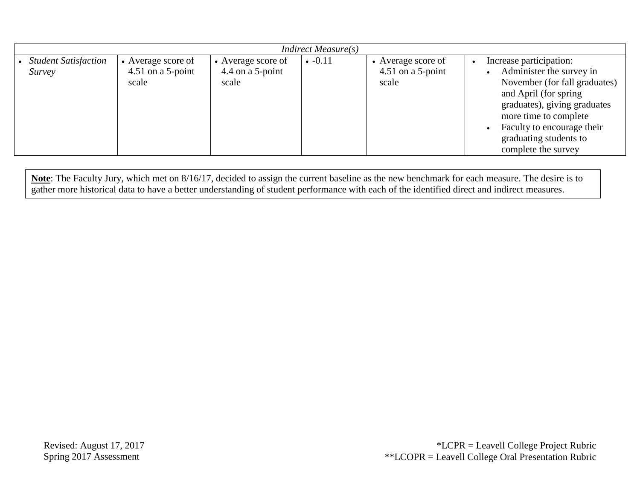| Indirect Measure(s)                   |                                                  |                                                    |               |                                                  |                                                                                                                                                                                                                                                        |  |  |
|---------------------------------------|--------------------------------------------------|----------------------------------------------------|---------------|--------------------------------------------------|--------------------------------------------------------------------------------------------------------------------------------------------------------------------------------------------------------------------------------------------------------|--|--|
| <b>Student Satisfaction</b><br>Survey | • Average score of<br>4.51 on a 5-point<br>scale | • Average score of<br>4.4 on a $5$ -point<br>scale | $\cdot -0.11$ | • Average score of<br>4.51 on a 5-point<br>scale | Increase participation:<br>Administer the survey in<br>November (for fall graduates)<br>and April (for spring)<br>graduates), giving graduates<br>more time to complete<br>Faculty to encourage their<br>graduating students to<br>complete the survey |  |  |

**Note**: The Faculty Jury, which met on 8/16/17, decided to assign the current baseline as the new benchmark for each measure. The desire is to gather more historical data to have a better understanding of student performance with each of the identified direct and indirect measures.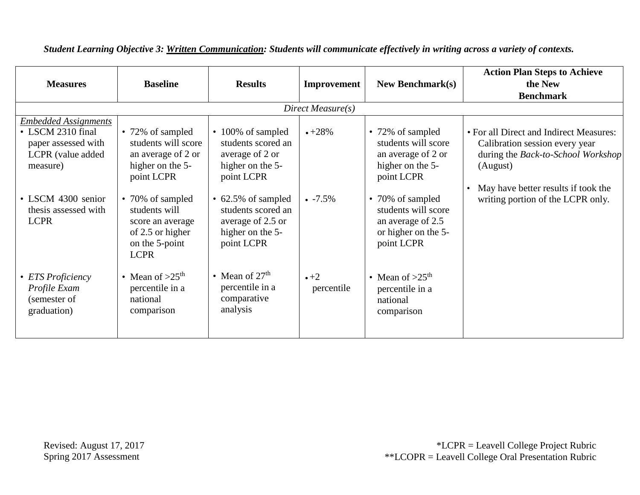| <b>Measures</b>                                                                                           | <b>Baseline</b>                                                                                            | <b>Results</b>                                                                                  | Improvement              | <b>New Benchmark(s)</b>                                                                           | <b>Action Plan Steps to Achieve</b><br>the New<br><b>Benchmark</b>                                                                                                 |
|-----------------------------------------------------------------------------------------------------------|------------------------------------------------------------------------------------------------------------|-------------------------------------------------------------------------------------------------|--------------------------|---------------------------------------------------------------------------------------------------|--------------------------------------------------------------------------------------------------------------------------------------------------------------------|
|                                                                                                           |                                                                                                            |                                                                                                 | Direct Measure(s)        |                                                                                                   |                                                                                                                                                                    |
| <b>Embedded Assignments</b><br>• LSCM 2310 final<br>paper assessed with<br>LCPR (value added)<br>measure) | • 72% of sampled<br>students will score<br>an average of 2 or<br>higher on the 5-<br>point LCPR            | • 100% of sampled<br>students scored an<br>average of 2 or<br>higher on the 5-<br>point LCPR    | $+28%$                   | • 72% of sampled<br>students will score<br>an average of 2 or<br>higher on the 5-<br>point LCPR   | • For all Direct and Indirect Measures:<br>Calibration session every year<br>during the Back-to-School Workshop<br>(August)<br>May have better results if took the |
| • LSCM 4300 senior<br>thesis assessed with<br><b>LCPR</b>                                                 | • 70% of sampled<br>students will<br>score an average<br>of 2.5 or higher<br>on the 5-point<br><b>LCPR</b> | • 62.5% of sampled<br>students scored an<br>average of 2.5 or<br>higher on the 5-<br>point LCPR | $-7.5\%$                 | • 70% of sampled<br>students will score<br>an average of 2.5<br>or higher on the 5-<br>point LCPR | writing portion of the LCPR only.                                                                                                                                  |
| • ETS Proficiency<br>Profile Exam<br>(semester of<br>graduation)                                          | • Mean of $>25$ <sup>th</sup><br>percentile in a<br>national<br>comparison                                 | • Mean of $27th$<br>percentile in a<br>comparative<br>analysis                                  | $\cdot$ +2<br>percentile | • Mean of $>25th$<br>percentile in a<br>national<br>comparison                                    |                                                                                                                                                                    |

*Student Learning Objective 3: Written Communication: Students will communicate effectively in writing across a variety of contexts.*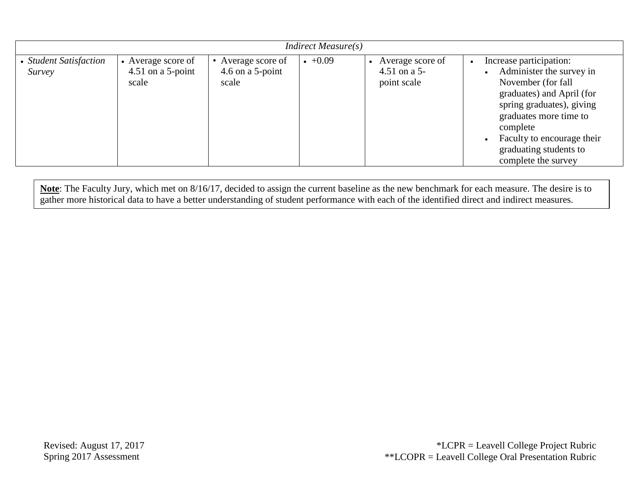| Indirect Measure(s)              |                                                  |                                                 |         |                                                   |                                                                                                                                                                                                                                                          |  |  |
|----------------------------------|--------------------------------------------------|-------------------------------------------------|---------|---------------------------------------------------|----------------------------------------------------------------------------------------------------------------------------------------------------------------------------------------------------------------------------------------------------------|--|--|
| • Student Satisfaction<br>Survey | • Average score of<br>4.51 on a 5-point<br>scale | • Average score of<br>4.6 on a 5-point<br>scale | $+0.09$ | Average score of<br>4.51 on a $5-$<br>point scale | Increase participation:<br>Administer the survey in<br>November (for fall<br>graduates) and April (for<br>spring graduates), giving<br>graduates more time to<br>complete<br>Faculty to encourage their<br>graduating students to<br>complete the survey |  |  |

**Note**: The Faculty Jury, which met on 8/16/17, decided to assign the current baseline as the new benchmark for each measure. The desire is to gather more historical data to have a better understanding of student performance with each of the identified direct and indirect measures.